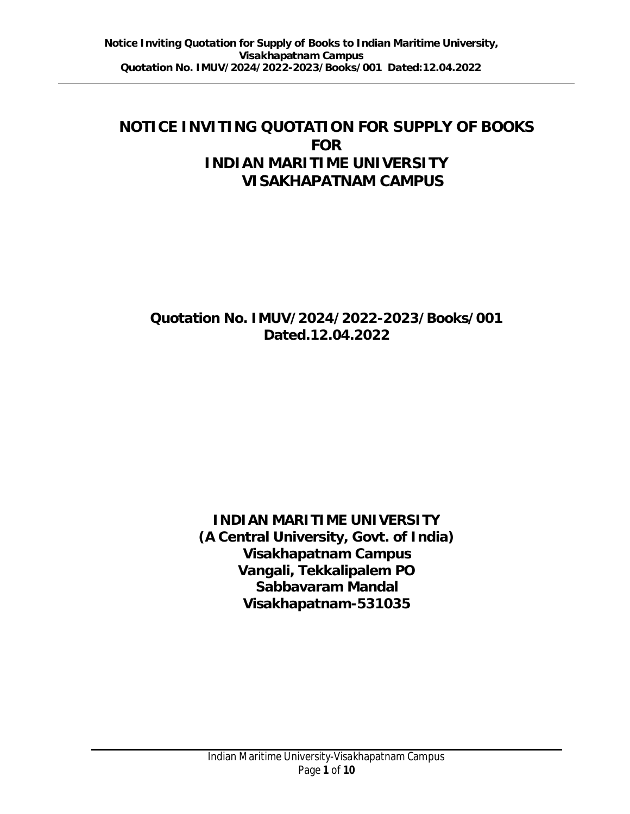# **NOTICE INVITING QUOTATION FOR SUPPLY OF BOOKS FOR INDIAN MARITIME UNIVERSITY VISAKHAPATNAM CAMPUS**

# **Quotation No. IMUV/2024/2022-2023/Books/001 Dated.12.04.2022**

**INDIAN MARITIME UNIVERSITY (A Central University, Govt. of India) Visakhapatnam Campus Vangali, Tekkalipalem PO Sabbavaram Mandal Visakhapatnam-531035**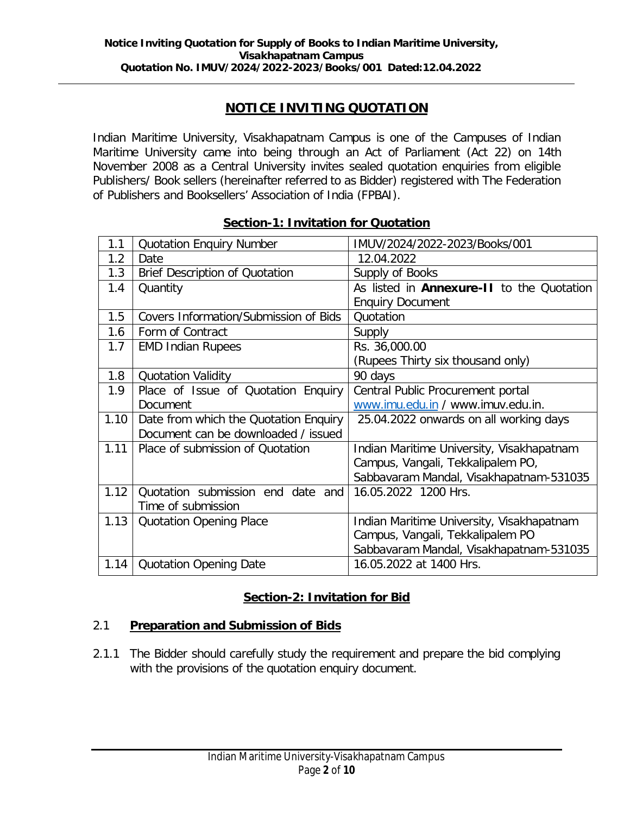# **NOTICE INVITING QUOTATION**

Indian Maritime University, Visakhapatnam Campus is one of the Campuses of Indian Maritime University came into being through an Act of Parliament (Act 22) on 14th November 2008 as a Central University invites sealed quotation enquiries from eligible Publishers/ Book sellers (hereinafter referred to as Bidder) registered with The Federation of Publishers and Booksellers' Association of India (FPBAI).

| 1.1  | <b>Quotation Enquiry Number</b>       | IMUV/2024/2022-2023/Books/001             |
|------|---------------------------------------|-------------------------------------------|
| 1.2  | Date                                  | 12.04.2022                                |
| 1.3  | <b>Brief Description of Quotation</b> | Supply of Books                           |
| 1.4  | Quantity                              | As listed in Annexure-II to the Quotation |
|      |                                       | <b>Enquiry Document</b>                   |
| 1.5  | Covers Information/Submission of Bids | Quotation                                 |
| 1.6  | Form of Contract                      | Supply                                    |
| 1.7  | <b>EMD Indian Rupees</b>              | Rs. 36,000.00                             |
|      |                                       | (Rupees Thirty six thousand only)         |
| 1.8  | <b>Quotation Validity</b>             | 90 days                                   |
| 1.9  | Place of Issue of Quotation Enquiry   | Central Public Procurement portal         |
|      | <b>Document</b>                       | www.imu.edu.in / www.imuv.edu.in.         |
| 1.10 | Date from which the Quotation Enquiry | 25.04.2022 onwards on all working days    |
|      | Document can be downloaded / issued   |                                           |
| 1.11 | Place of submission of Quotation      | Indian Maritime University, Visakhapatnam |
|      |                                       | Campus, Vangali, Tekkalipalem PO,         |
|      |                                       | Sabbavaram Mandal, Visakhapatnam-531035   |
| 1.12 | Quotation submission end date and     | 16.05.2022 1200 Hrs.                      |
|      | Time of submission                    |                                           |
| 1.13 | <b>Quotation Opening Place</b>        | Indian Maritime University, Visakhapatnam |
|      |                                       | Campus, Vangali, Tekkalipalem PO          |
|      |                                       | Sabbavaram Mandal, Visakhapatnam-531035   |
| 1.14 | <b>Quotation Opening Date</b>         | 16.05.2022 at 1400 Hrs.                   |

### **Section-1: Invitation for Quotation**

# **Section-2: Invitation for Bid**

#### **Preparation and Submission of Bids** 2.1

2.1.1 The Bidder should carefully study the requirement and prepare the bid complying with the provisions of the quotation enquiry document.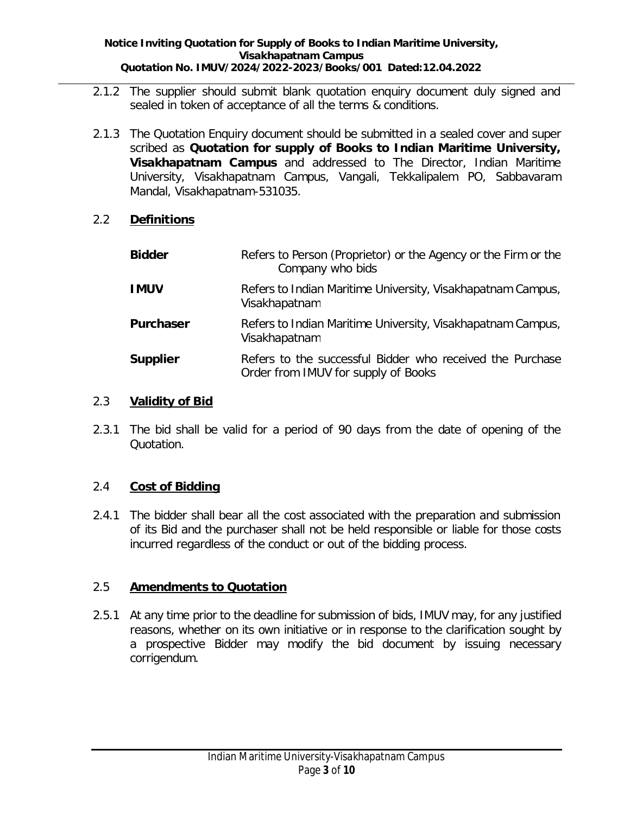- 2.1.2 The supplier should submit blank quotation enquiry document duly signed and sealed in token of acceptance of all the terms & conditions.
- **Quotation for supply of Books to Indian Maritime University,** scribed as **Visakhapatnam Campus** and addressed to The Director, Indian Maritime 2.1.3 The Quotation Enquiry document should be submitted in a sealed cover and super University, Visakhapatnam Campus, Vangali, Tekkalipalem PO, Sabbavaram Mandal, Visakhapatnam-531035.

#### **Definitions** 2.2

| <b>Bidder</b> | Refers to Person (Proprietor) or the Agency or the Firm or the<br>Company who bids               |
|---------------|--------------------------------------------------------------------------------------------------|
| <b>IMUV</b>   | Refers to Indian Maritime University, Visakhapatnam Campus,<br>Visakhapatnam                     |
| Purchaser     | Refers to Indian Maritime University, Visakhapatnam Campus,<br>Visakhapatnam                     |
| Supplier      | Refers to the successful Bidder who received the Purchase<br>Order from IMUV for supply of Books |

#### **Validity of Bid** 2.3

2.3.1 The bid shall be valid for a period of 90 days from the date of opening of the Quotation.

#### **Cost of Bidding** 2.4

2.4.1 The bidder shall bear all the cost associated with the preparation and submission of its Bid and the purchaser shall not be held responsible or liable for those costs incurred regardless of the conduct or out of the bidding process.

#### **Amendments to Quotation** 2.5

2.5.1 At any time prior to the deadline for submission of bids, IMUV may, for any justified reasons, whether on its own initiative or in response to the clarification sought by a prospective Bidder may modify the bid document by issuing necessary corrigendum.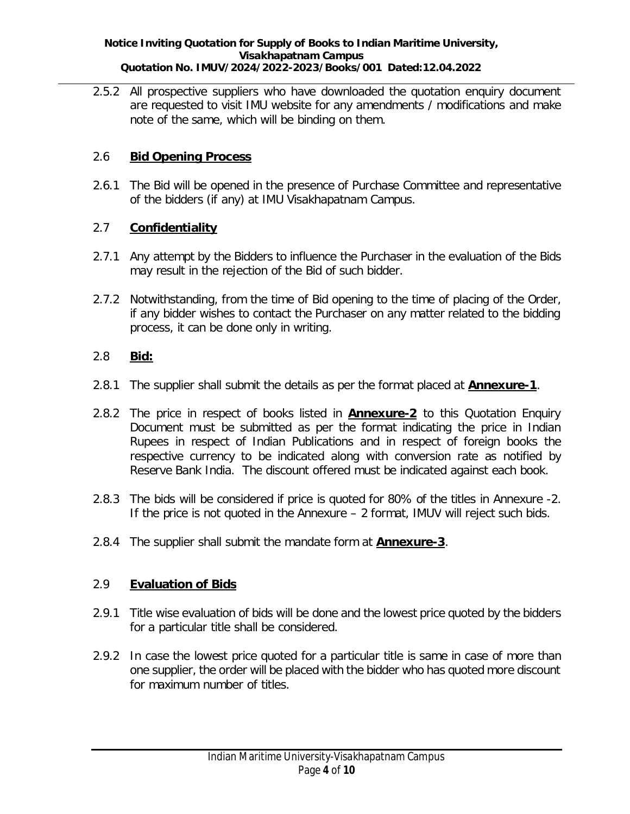**Notice Inviting Quotation for Supply of Books to Indian Maritime University, Visakhapatnam Campus Quotation No. IMUV/2024/2022-2023/Books/001 Dated:12.04.2022**

2.5.2 All prospective suppliers who have downloaded the quotation enquiry document are requested to visit IMU website for any amendments / modifications and make note of the same, which will be binding on them.

#### **Bid Opening Process** 2.6

2.6.1 The Bid will be opened in the presence of Purchase Committee and representative of the bidders (if any) at IMU Visakhapatnam Campus.

#### **Confidentiality** 2.7

- 2.7.1 Any attempt by the Bidders to influence the Purchaser in the evaluation of the Bids may result in the rejection of the Bid of such bidder.
- 2.7.2 Notwithstanding, from the time of Bid opening to the time of placing of the Order, if any bidder wishes to contact the Purchaser on any matter related to the bidding process, it can be done only in writing.

#### **Bid:** 2.8

- 2.8.1 The supplier shall submit the details as per the format placed at **Annexure-1**.
- 2.8.2 The price in respect of books listed in **Annexure-2** to this Quotation Enquiry Document must be submitted as per the format indicating the price in Indian Rupees in respect of Indian Publications and in respect of foreign books the respective currency to be indicated along with conversion rate as notified by Reserve Bank India. The discount offered must be indicated against each book.
- 2.8.3 The bids will be considered if price is quoted for 80% of the titles in Annexure -2. If the price is not quoted in the Annexure – 2 format, IMUV will reject such bids.
- 2.8.4 The supplier shall submit the mandate form at **Annexure-3.**

#### **Evaluation of Bids** 2.9

- 2.9.1 Title wise evaluation of bids will be done and the lowest price quoted by the bidders for a particular title shall be considered.
- 2.9.2 In case the lowest price quoted for a particular title is same in case of more than one supplier, the order will be placed with the bidder who has quoted more discount for maximum number of titles.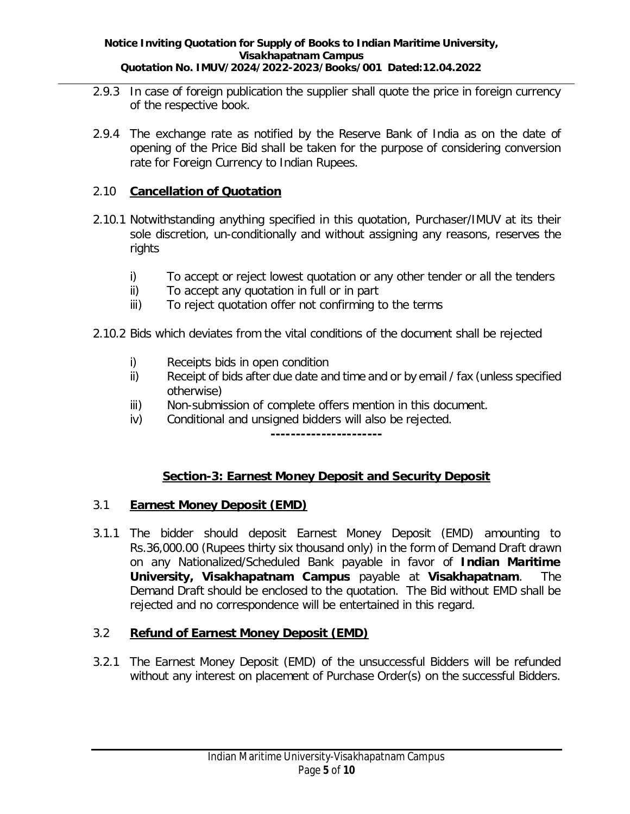- 2.9.3 In case of foreign publication the supplier shall quote the price in foreign currency of the respective book.
- 2.9.4 The exchange rate as notified by the Reserve Bank of India as on the date of opening of the Price Bid shall be taken for the purpose of considering conversion rate for Foreign Currency to Indian Rupees.

## **Cancellation of Quotation** 2.10

- 2.10.1 Notwithstanding anything specified in this quotation, Purchaser/IMUV at its their sole discretion, un-conditionally and without assigning any reasons, reserves the rights
	- i) To accept or reject lowest quotation or any other tender or all the tenders
	- ii) To accept any quotation in full or in part
	- iii) To reject quotation offer not confirming to the terms
- 2.10.2 Bids which deviates from the vital conditions of the document shall be rejected
	- i) Receipts bids in open condition
	- ii) Receipt of bids after due date and time and or by email / fax (unless specified otherwise)
	- iii) Non-submission of complete offers mention in this document.
	- iv) Conditional and unsigned bidders will also be rejected.

**----------------------**

# **Section-3: Earnest Money Deposit and Security Deposit**

#### **Earnest Money Deposit (EMD)** 3.1

**Indian Maritime** on any Nationalized/Scheduled Bank payable in favor of University, Visakhapatnam Campus payable at Visakhapatnam. The 3.1.1 The bidder should deposit Earnest Money Deposit (EMD) amounting to Rs.36,000.00 (Rupees thirty six thousand only) in the form of Demand Draft drawn Demand Draft should be enclosed to the quotation. The Bid without EMD shall be rejected and no correspondence will be entertained in this regard.

#### **Refund of Earnest Money Deposit (EMD)** 3.2

3.2.1 The Earnest Money Deposit (EMD) of the unsuccessful Bidders will be refunded without any interest on placement of Purchase Order(s) on the successful Bidders.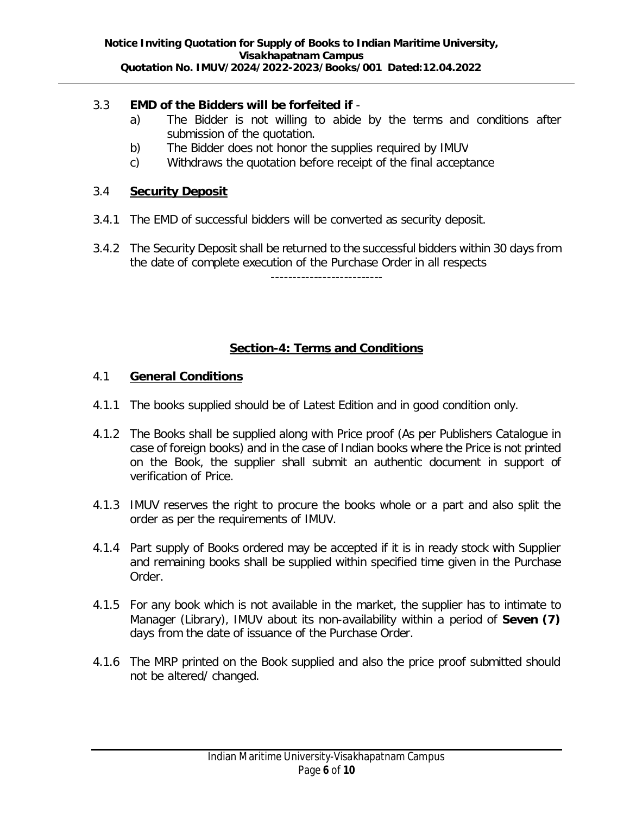- **EMD of the Bidders will be forfeited if** 3.3
	- a) The Bidder is not willing to abide by the terms and conditions after submission of the quotation.
	- b) The Bidder does not honor the supplies required by IMUV
	- c) Withdraws the quotation before receipt of the final acceptance

#### **Security Deposit** 3.4

- 3.4.1 The EMD of successful bidders will be converted as security deposit.
- 3.4.2 The Security Deposit shall be returned to the successful bidders within 30 days from the date of complete execution of the Purchase Order in all respects

--------------------------

## **Section-4: Terms and Conditions**

- **General Conditions** 4.1
- 4.1.1 The books supplied should be of Latest Edition and in good condition only.
- 4.1.2 The Books shall be supplied along with Price proof (As per Publishers Catalogue in case of foreign books) and in the case of Indian books where the Price is not printed on the Book, the supplier shall submit an authentic document in support of verification of Price.
- 4.1.3 IMUV reserves the right to procure the books whole or a part and also split the order as per the requirements of IMUV.
- 4.1.4 Part supply of Books ordered may be accepted if it is in ready stock with Supplier and remaining books shall be supplied within specified time given in the Purchase Order.
- Manager (Library), IMUV about its non-availability within a period of Seven (7) 4.1.5 For any book which is not available in the market, the supplier has to intimate to days from the date of issuance of the Purchase Order.
- 4.1.6 The MRP printed on the Book supplied and also the price proof submitted should not be altered/ changed.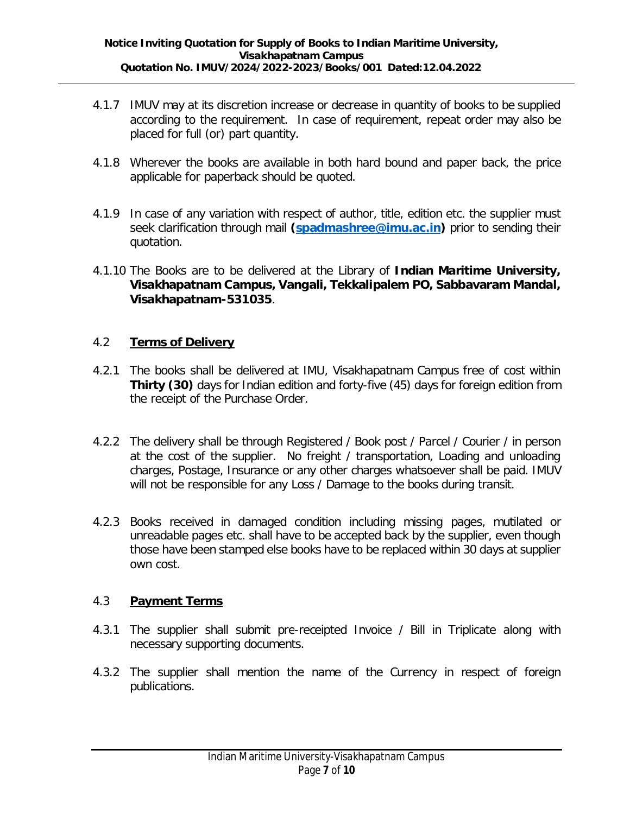- 4.1.7 IMUV may at its discretion increase or decrease in quantity of books to be supplied according to the requirement. In case of requirement, repeat order may also be placed for full (or) part quantity.
- 4.1.8 Wherever the books are available in both hard bound and paper back, the price applicable for paperback should be quoted.
- seek clarification through mail (spadmashree@imu.ac.in) prior to sending their 4.1.9 In case of any variation with respect of author, title, edition etc. the supplier must quotation.
- 4.1.10 The Books are to be delivered at the Library of Indian Maritime University, **Visakhapatnam Campus, Vangali, Tekkalipalem PO, Sabbavaram Mandal, Visakhapatnam-531035** .

#### **Terms of Delivery** 4.2

- **Thirty (30)** days for Indian edition and forty-five (45) days for foreign edition from 4.2.1 The books shall be delivered at IMU, Visakhapatnam Campus free of cost within the receipt of the Purchase Order.
- 4.2.2 The delivery shall be through Registered / Book post / Parcel / Courier / in person at the cost of the supplier. No freight / transportation, Loading and unloading charges, Postage, Insurance or any other charges whatsoever shall be paid. IMUV will not be responsible for any Loss / Damage to the books during transit.
- 4.2.3 Books received in damaged condition including missing pages, mutilated or unreadable pages etc. shall have to be accepted back by the supplier, even though those have been stamped else books have to be replaced within 30 days at supplier own cost.

#### **Payment Terms** 4.3

- 4.3.1 The supplier shall submit pre-receipted Invoice / Bill in Triplicate along with necessary supporting documents.
- 4.3.2 The supplier shall mention the name of the Currency in respect of foreign publications.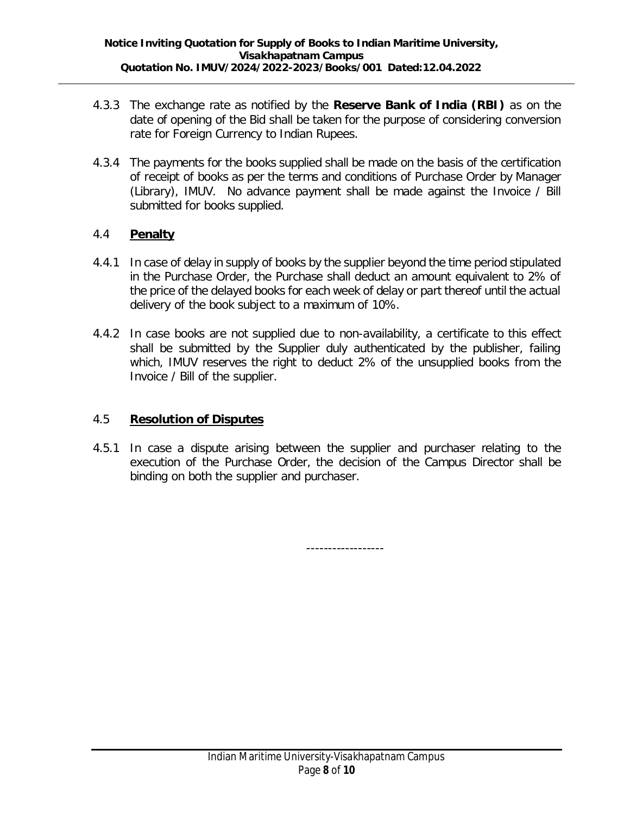- **4.3.3** The exchange rate as notified by the Reserve Bank of India (RBI) as on the date of opening of the Bid shall be taken for the purpose of considering conversion rate for Foreign Currency to Indian Rupees.
- 4.3.4 The payments for the books supplied shall be made on the basis of the certification of receipt of books as per the terms and conditions of Purchase Order by Manager (Library), IMUV. No advance payment shall be made against the Invoice / Bill submitted for books supplied.

#### **Penalty** 4.4

- 4.4.1 In case of delay in supply of books by the supplier beyond the time period stipulated in the Purchase Order, the Purchase shall deduct an amount equivalent to 2% of the price of the delayed books for each week of delay or part thereof until the actual delivery of the book subject to a maximum of 10%.
- 4.4.2 In case books are not supplied due to non-availability, a certificate to this effect shall be submitted by the Supplier duly authenticated by the publisher, failing which, IMUV reserves the right to deduct 2% of the unsupplied books from the Invoice / Bill of the supplier.

#### **Resolution of Disputes** 4.5

4.5.1 In case a dispute arising between the supplier and purchaser relating to the execution of the Purchase Order, the decision of the Campus Director shall be binding on both the supplier and purchaser.

------------------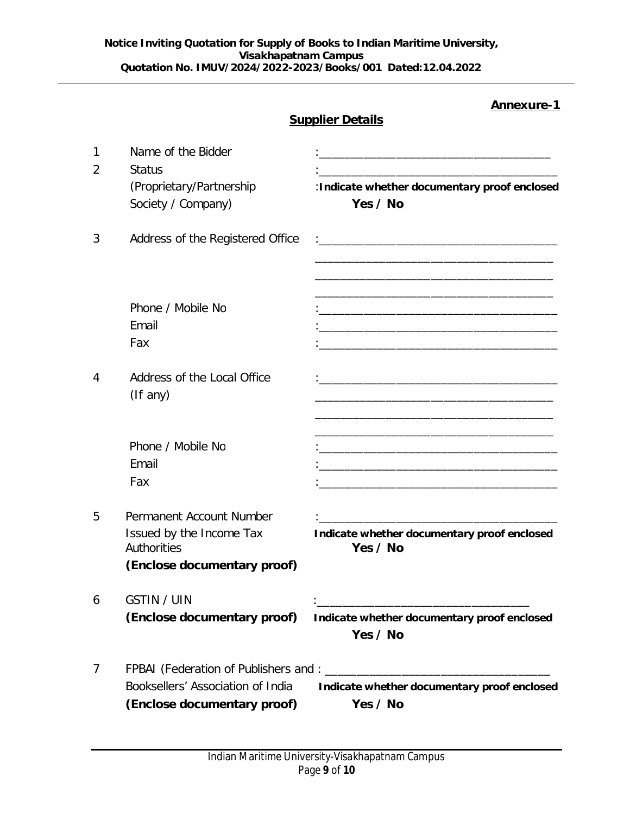|        |                                                                                                    | Annexure-1<br><b>Supplier Details</b>                                                                                                                                                       |
|--------|----------------------------------------------------------------------------------------------------|---------------------------------------------------------------------------------------------------------------------------------------------------------------------------------------------|
| 1<br>2 | Name of the Bidder<br><b>Status</b><br>(Proprietary/Partnership<br>Society / Company)              | <u> 1989 - Johann John Stone, meilich an der Stone († 1918)</u><br>:Indicate whether documentary proof enclosed<br>Yes / No                                                                 |
| 3      | Address of the Registered Office<br>Phone / Mobile No                                              | <u> 1989 - Johann Harry Harry Harry Harry Harry Harry Harry Harry Harry Harry Harry Harry Harry Harry Harry Harry</u>                                                                       |
|        | Email<br>Fax                                                                                       | <u> 1990 - Johann Stein, mars an deus Amerikaansk kommunister (</u>                                                                                                                         |
| 4      | Address of the Local Office<br>$($ If any $)$                                                      |                                                                                                                                                                                             |
|        | Phone / Mobile No<br>Email<br>Fax                                                                  | <u> 1980 - Johann John Stone, mars et al. 1980 - John Stone, mars et al. 1980 - John Stone, mars et al. 1980 - John Stone</u><br><u> 1989 - Johann John Stein, fransk politik (d. 1989)</u> |
| 5      | Permanent Account Number<br>Issued by the Income Tax<br>Authorities<br>(Enclose documentary proof) | Indicate whether documentary proof enclosed<br>Yes / No                                                                                                                                     |
| 6      | <b>GSTIN / UIN</b><br>(Enclose documentary proof)                                                  | Indicate whether documentary proof enclosed<br>Yes / No                                                                                                                                     |
| 7      | Booksellers' Association of India<br>(Enclose documentary proof)                                   | Indicate whether documentary proof enclosed<br>Yes / No                                                                                                                                     |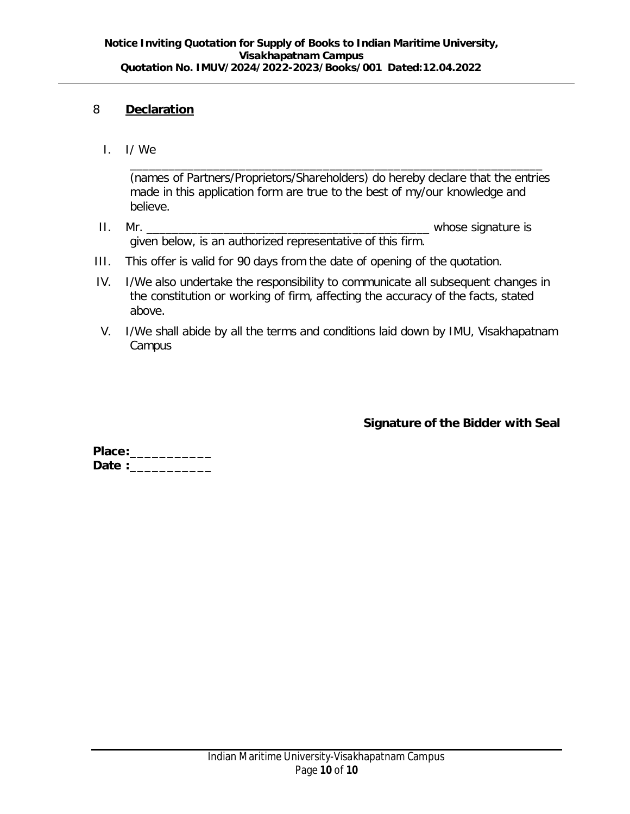#### **Declaration** 8

I. I/ We

(names of Partners/Proprietors/Shareholders) do hereby declare that the entries made in this application form are true to the best of my/our knowledge and believe.

\_\_\_\_\_\_\_\_\_\_\_\_\_\_\_\_\_\_\_\_\_\_\_\_\_\_\_\_\_\_\_\_\_\_\_\_\_\_\_\_\_\_\_\_\_\_\_\_\_\_\_\_\_\_\_\_\_\_\_\_\_\_\_\_

- II. Mr. given below, is an authorized representative of this firm.
- III. This offer is valid for 90 days from the date of opening of the quotation.
- IV. I/We also undertake the responsibility to communicate all subsequent changes in the constitution or working of firm, affecting the accuracy of the facts, stated above.
- V. I/We shall abide by all the terms and conditions laid down by IMU, Visakhapatnam Campus

**Signature of the Bidder with Seal**

**Place:\_\_\_\_\_\_\_\_\_\_\_** Date :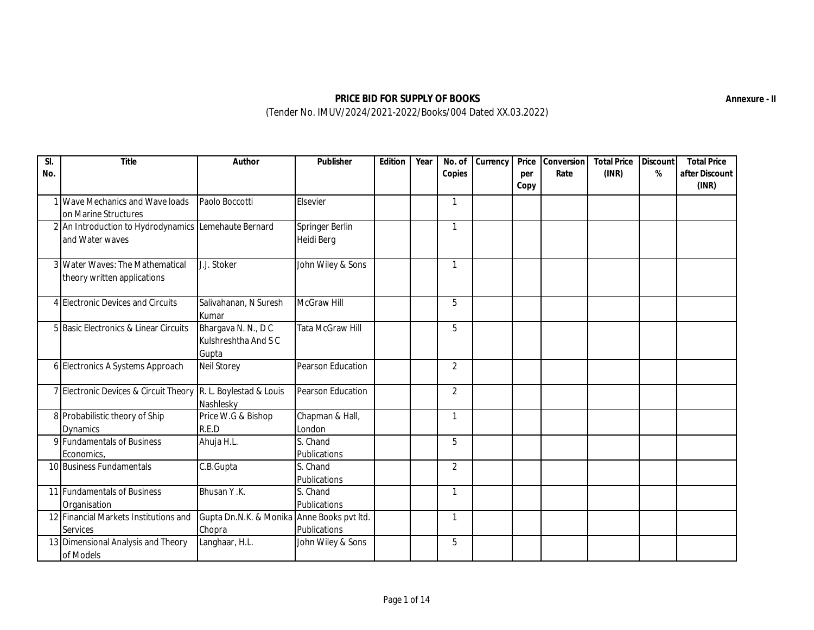| SI. | Title                                                | Author                                     | Publisher               | Edition | Year | No. of         | Currency | Price       | Conversion | <b>Total Price</b> | Discount | <b>Total Price</b>      |
|-----|------------------------------------------------------|--------------------------------------------|-------------------------|---------|------|----------------|----------|-------------|------------|--------------------|----------|-------------------------|
| No. |                                                      |                                            |                         |         |      | Copies         |          | per<br>Copy | Rate       | (INR)              | $\%$     | after Discount<br>(INR) |
|     | 1 Wave Mechanics and Wave loads                      | Paolo Boccotti                             | Elsevier                |         |      | $\mathbf{1}$   |          |             |            |                    |          |                         |
|     | on Marine Structures                                 |                                            |                         |         |      |                |          |             |            |                    |          |                         |
|     | 2 An Introduction to Hydrodynamics Lemehaute Bernard |                                            | Springer Berlin         |         |      | $\mathbf{1}$   |          |             |            |                    |          |                         |
|     | and Water waves                                      |                                            | Heidi Berg              |         |      |                |          |             |            |                    |          |                         |
|     | 3 Water Waves: The Mathematical                      | J.J. Stoker                                | John Wiley & Sons       |         |      | $\mathbf{1}$   |          |             |            |                    |          |                         |
|     | theory written applications                          |                                            |                         |         |      |                |          |             |            |                    |          |                         |
|     | 4 Electronic Devices and Circuits                    | Salivahanan, N Suresh<br>Kumar             | <b>McGraw Hill</b>      |         |      | 5              |          |             |            |                    |          |                         |
|     | 5 Basic Electronics & Linear Circuits                | Bhargava N. N., DC                         | <b>Tata McGraw Hill</b> |         |      | 5              |          |             |            |                    |          |                         |
|     |                                                      | Kulshreshtha And S C                       |                         |         |      |                |          |             |            |                    |          |                         |
|     |                                                      | Gupta                                      |                         |         |      |                |          |             |            |                    |          |                         |
|     | 6 Electronics A Systems Approach                     | <b>Neil Storey</b>                         | Pearson Education       |         |      | $\overline{2}$ |          |             |            |                    |          |                         |
|     | 7 Electronic Devices & Circuit Theory                | R. L. Boylestad & Louis                    | Pearson Education       |         |      | $\overline{2}$ |          |             |            |                    |          |                         |
|     |                                                      | Nashlesky                                  |                         |         |      |                |          |             |            |                    |          |                         |
|     | 8 Probabilistic theory of Ship                       | Price W.G & Bishop                         | Chapman & Hall,         |         |      | $\mathbf{1}$   |          |             |            |                    |          |                         |
|     | <b>Dynamics</b>                                      | R.E.D                                      | London                  |         |      |                |          |             |            |                    |          |                         |
|     | 9 Fundamentals of Business                           | Ahuja H.L.                                 | S. Chand                |         |      | 5              |          |             |            |                    |          |                         |
|     | Economics,                                           |                                            | Publications            |         |      |                |          |             |            |                    |          |                         |
|     | 10 Business Fundamentals                             | C.B.Gupta                                  | S. Chand                |         |      | $\overline{2}$ |          |             |            |                    |          |                         |
|     |                                                      |                                            | Publications            |         |      |                |          |             |            |                    |          |                         |
|     | 11 Fundamentals of Business                          | Bhusan Y.K.                                | S. Chand                |         |      | $\mathbf{1}$   |          |             |            |                    |          |                         |
|     | Organisation                                         |                                            | Publications            |         |      |                |          |             |            |                    |          |                         |
|     | 12 Financial Markets Institutions and                | Gupta Dn.N.K. & Monika Anne Books pvt Itd. |                         |         |      | $\mathbf{1}$   |          |             |            |                    |          |                         |
|     | <b>Services</b>                                      | Chopra                                     | Publications            |         |      |                |          |             |            |                    |          |                         |
|     | 13 Dimensional Analysis and Theory                   | Langhaar, H.L.                             | John Wiley & Sons       |         |      | 5              |          |             |            |                    |          |                         |
|     | of Models                                            |                                            |                         |         |      |                |          |             |            |                    |          |                         |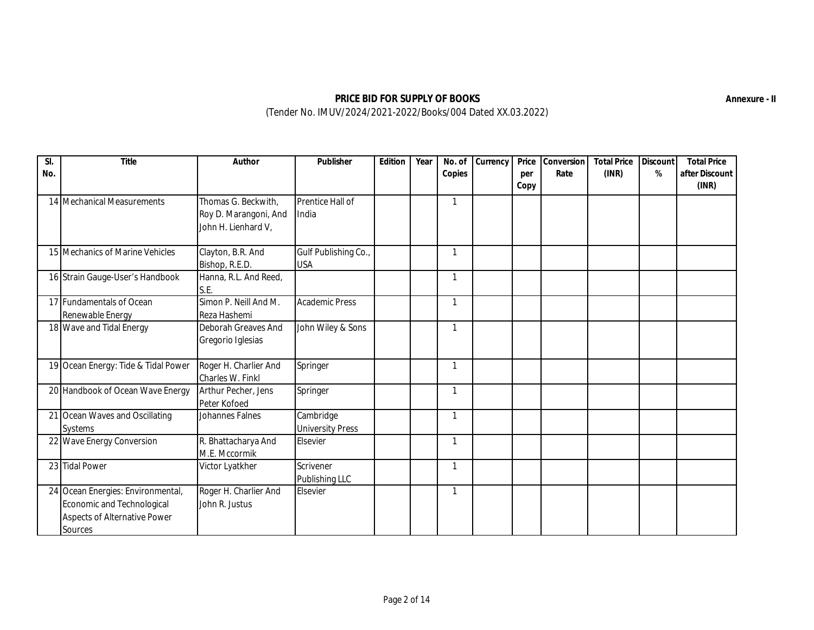| SI.<br>No. | Title                               | Author                | Publisher               | Edition | Year | No. of<br>Copies | Currency | Price<br>per | Conversion<br>Rate | <b>Total Price</b><br>(INR) | Discount<br>% | <b>Total Price</b><br>after Discount |
|------------|-------------------------------------|-----------------------|-------------------------|---------|------|------------------|----------|--------------|--------------------|-----------------------------|---------------|--------------------------------------|
|            |                                     |                       |                         |         |      |                  |          | Copy         |                    |                             |               | (INR)                                |
|            | 14 Mechanical Measurements          | Thomas G. Beckwith,   | Prentice Hall of        |         |      | ſ                |          |              |                    |                             |               |                                      |
|            |                                     | Roy D. Marangoni, And | India                   |         |      |                  |          |              |                    |                             |               |                                      |
|            |                                     | John H. Lienhard V,   |                         |         |      |                  |          |              |                    |                             |               |                                      |
|            | 15 Mechanics of Marine Vehicles     | Clayton, B.R. And     | Gulf Publishing Co.,    |         |      | $\mathbf{1}$     |          |              |                    |                             |               |                                      |
|            |                                     | Bishop, R.E.D.        | <b>USA</b>              |         |      |                  |          |              |                    |                             |               |                                      |
|            | 16 Strain Gauge-User's Handbook     | Hanna, R.L. And Reed, |                         |         |      | 1                |          |              |                    |                             |               |                                      |
|            |                                     | S.E.                  |                         |         |      |                  |          |              |                    |                             |               |                                      |
|            | 17 Fundamentals of Ocean            | Simon P. Neill And M. | <b>Academic Press</b>   |         |      | 1                |          |              |                    |                             |               |                                      |
|            | Renewable Energy                    | Reza Hashemi          |                         |         |      |                  |          |              |                    |                             |               |                                      |
|            | 18 Wave and Tidal Energy            | Deborah Greaves And   | John Wiley & Sons       |         |      |                  |          |              |                    |                             |               |                                      |
|            |                                     | Gregorio Iglesias     |                         |         |      |                  |          |              |                    |                             |               |                                      |
|            | 19 Ocean Energy: Tide & Tidal Power | Roger H. Charlier And | Springer                |         |      |                  |          |              |                    |                             |               |                                      |
|            |                                     | Charles W. Finkl      |                         |         |      |                  |          |              |                    |                             |               |                                      |
|            | 20 Handbook of Ocean Wave Energy    | Arthur Pecher, Jens   | Springer                |         |      | 1                |          |              |                    |                             |               |                                      |
|            |                                     | Peter Kofoed          |                         |         |      |                  |          |              |                    |                             |               |                                      |
|            | 21 Ocean Waves and Oscillating      | Johannes Falnes       | Cambridge               |         |      | 1                |          |              |                    |                             |               |                                      |
|            | Systems                             |                       | <b>University Press</b> |         |      |                  |          |              |                    |                             |               |                                      |
|            | 22 Wave Energy Conversion           | R. Bhattacharya And   | Elsevier                |         |      | 1                |          |              |                    |                             |               |                                      |
|            |                                     | M.E. Mccormik         |                         |         |      |                  |          |              |                    |                             |               |                                      |
|            | 23 Tidal Power                      | Victor Lyatkher       | Scrivener               |         |      | 1                |          |              |                    |                             |               |                                      |
|            |                                     |                       | Publishing LLC          |         |      |                  |          |              |                    |                             |               |                                      |
|            | 24 Ocean Energies: Environmental,   | Roger H. Charlier And | Elsevier                |         |      | 1                |          |              |                    |                             |               |                                      |
|            | Economic and Technological          | John R. Justus        |                         |         |      |                  |          |              |                    |                             |               |                                      |
|            | <b>Aspects of Alternative Power</b> |                       |                         |         |      |                  |          |              |                    |                             |               |                                      |
|            | <b>Sources</b>                      |                       |                         |         |      |                  |          |              |                    |                             |               |                                      |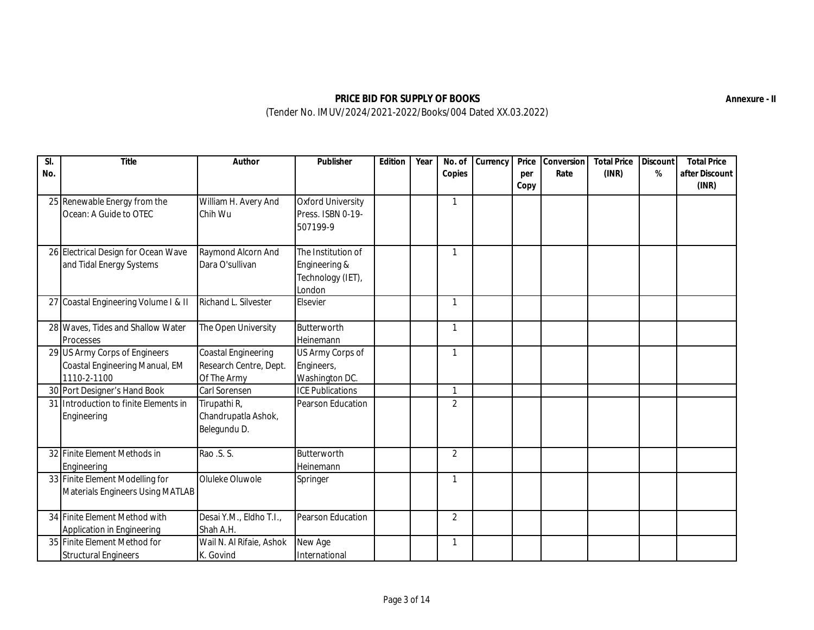| No. | Title                                                                          | Author                                                       | Publisher                                                          | Edition | Year | No. of<br>Copies | Currency | Price<br>per<br>Copy | Conversion<br>Rate | <b>Total Price</b><br>(INR) | Discount<br>% | <b>Total Price</b><br>after Discount<br>(INR) |
|-----|--------------------------------------------------------------------------------|--------------------------------------------------------------|--------------------------------------------------------------------|---------|------|------------------|----------|----------------------|--------------------|-----------------------------|---------------|-----------------------------------------------|
|     | 25 Renewable Energy from the<br>Ocean: A Guide to OTEC                         | William H. Avery And<br>Chih Wu                              | <b>Oxford University</b><br>Press. ISBN 0-19-<br>507199-9          |         |      | 1                |          |                      |                    |                             |               |                                               |
|     | 26 Electrical Design for Ocean Wave<br>and Tidal Energy Systems                | Raymond Alcorn And<br>Dara O'sullivan                        | The Institution of<br>Engineering &<br>Technology (IET),<br>London |         |      | $\mathbf{1}$     |          |                      |                    |                             |               |                                               |
|     | 27 Coastal Engineering Volume I & II                                           | Richand L. Silvester                                         | Elsevier                                                           |         |      | 1                |          |                      |                    |                             |               |                                               |
|     | 28 Waves, Tides and Shallow Water<br>Processes                                 | The Open University                                          | Butterworth<br>Heinemann                                           |         |      | 1                |          |                      |                    |                             |               |                                               |
|     | 29 US Army Corps of Engineers<br>Coastal Engineering Manual, EM<br>1110-2-1100 | Coastal Engineering<br>Research Centre, Dept.<br>Of The Army | US Army Corps of<br>Engineers,<br>Washington DC.                   |         |      | 1                |          |                      |                    |                             |               |                                               |
|     | 30 Port Designer's Hand Book                                                   | <b>Carl Sorensen</b>                                         | <b>ICE Publications</b>                                            |         |      | 1                |          |                      |                    |                             |               |                                               |
|     | 31 Introduction to finite Elements in<br>Engineering                           | Tirupathi R,<br>Chandrupatla Ashok,<br>Belegundu D.          | Pearson Education                                                  |         |      | $\overline{2}$   |          |                      |                    |                             |               |                                               |
|     | 32 Finite Element Methods in<br>Engineering                                    | Rao .S. S.                                                   | Butterworth<br>Heinemann                                           |         |      | $\overline{2}$   |          |                      |                    |                             |               |                                               |
|     | 33 Finite Element Modelling for<br><b>Materials Engineers Using MATLAB</b>     | Oluleke Oluwole                                              | Springer                                                           |         |      | 1                |          |                      |                    |                             |               |                                               |
|     | 34 Finite Element Method with<br>Application in Engineering                    | Desai Y.M., Eldho T.I.,<br>Shah A.H.                         | Pearson Education                                                  |         |      | $\overline{2}$   |          |                      |                    |                             |               |                                               |
|     | 35 Finite Element Method for<br><b>Structural Engineers</b>                    | Wail N. Al Rifaie, Ashok<br>K. Govind                        | New Age<br>International                                           |         |      | 1                |          |                      |                    |                             |               |                                               |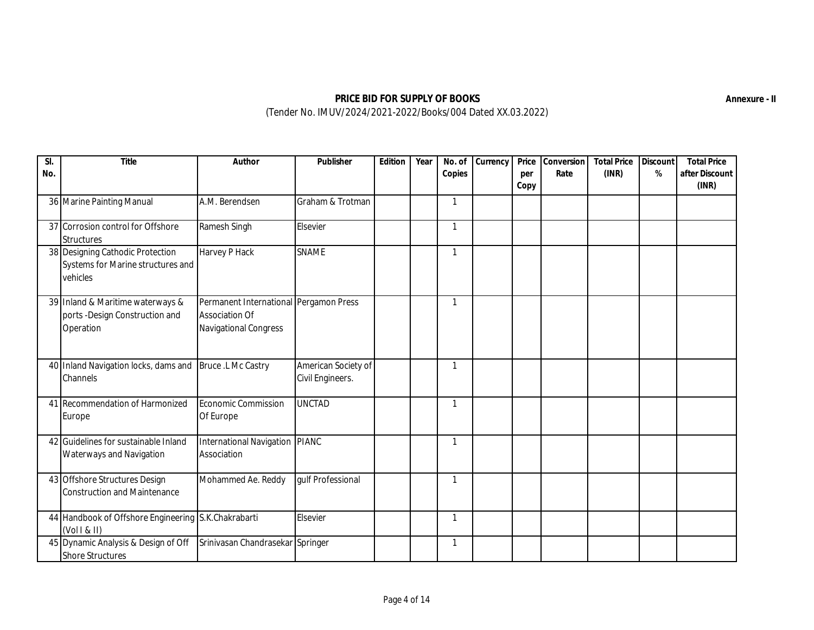| No. | Title                                                                             | Author                                                                                   | Publisher                               | Edition | Year | No. of<br>Copies | Currency | Price<br>per<br>Copy | Conversion<br>Rate | <b>Total Price</b><br>(INR) | Discount<br>% | <b>Total Price</b><br>after Discount<br>(INR) |
|-----|-----------------------------------------------------------------------------------|------------------------------------------------------------------------------------------|-----------------------------------------|---------|------|------------------|----------|----------------------|--------------------|-----------------------------|---------------|-----------------------------------------------|
|     | 36 Marine Painting Manual                                                         | A.M. Berendsen                                                                           | Graham & Trotman                        |         |      | 1                |          |                      |                    |                             |               |                                               |
|     | 37 Corrosion control for Offshore<br><b>Structures</b>                            | Ramesh Singh                                                                             | Elsevier                                |         |      | 1                |          |                      |                    |                             |               |                                               |
|     | 38 Designing Cathodic Protection<br>Systems for Marine structures and<br>vehicles | Harvey P Hack                                                                            | <b>SNAME</b>                            |         |      | $\mathbf{1}$     |          |                      |                    |                             |               |                                               |
|     | 39 Inland & Maritime waterways &<br>ports -Design Construction and<br>Operation   | Permanent International Pergamon Press<br><b>Association Of</b><br>Navigational Congress |                                         |         |      | $\mathbf{1}$     |          |                      |                    |                             |               |                                               |
|     | 40 Inland Navigation locks, dams and  Bruce .L Mc Castry<br>Channels              |                                                                                          | American Society of<br>Civil Engineers. |         |      | 1                |          |                      |                    |                             |               |                                               |
|     | 41 Recommendation of Harmonized<br>Europe                                         | Economic Commission<br>Of Europe                                                         | <b>UNCTAD</b>                           |         |      | 1                |          |                      |                    |                             |               |                                               |
|     | 42 Guidelines for sustainable Inland<br>Waterways and Navigation                  | International Navigation PIANC<br>Association                                            |                                         |         |      | 1                |          |                      |                    |                             |               |                                               |
|     | 43 Offshore Structures Design<br><b>Construction and Maintenance</b>              | Mohammed Ae. Reddy                                                                       | gulf Professional                       |         |      | 1                |          |                      |                    |                             |               |                                               |
|     | 44 Handbook of Offshore Engineering S.K.Chakrabarti<br>(Vol1 &                    |                                                                                          | Elsevier                                |         |      | $\mathbf{1}$     |          |                      |                    |                             |               |                                               |
|     | 45 Dynamic Analysis & Design of Off<br><b>Shore Structures</b>                    | Srinivasan Chandrasekar Springer                                                         |                                         |         |      | 1                |          |                      |                    |                             |               |                                               |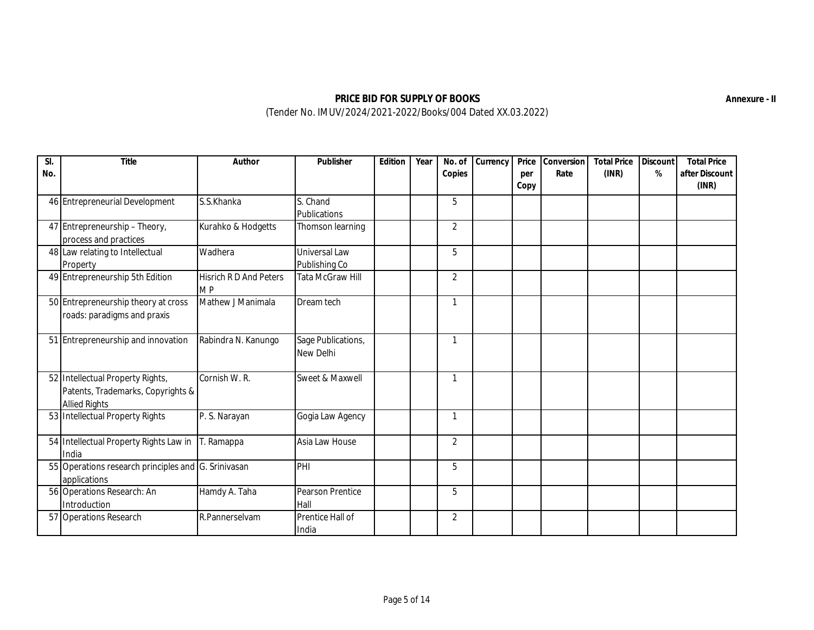| SI.<br>No. | Title                                                                                         | Author                                     | Publisher                       | Edition | Year | No. of<br>Copies | Currency | Price<br>per<br>Copy | Conversion<br>Rate | <b>Total Price</b><br>(INR) | Discount<br>% | <b>Total Price</b><br>after Discount<br>(INR) |
|------------|-----------------------------------------------------------------------------------------------|--------------------------------------------|---------------------------------|---------|------|------------------|----------|----------------------|--------------------|-----------------------------|---------------|-----------------------------------------------|
|            | 46 Entrepreneurial Development                                                                | S.S.Khanka                                 | S. Chand<br>Publications        |         |      | 5                |          |                      |                    |                             |               |                                               |
|            | 47 Entrepreneurship - Theory,<br>process and practices                                        | Kurahko & Hodgetts                         | Thomson learning                |         |      | $\overline{2}$   |          |                      |                    |                             |               |                                               |
|            | 48 Law relating to Intellectual<br>Property                                                   | Wadhera                                    | Universal Law<br>Publishing Co  |         |      | 5                |          |                      |                    |                             |               |                                               |
|            | 49 Entrepreneurship 5th Edition                                                               | <b>Hisrich R D And Peters</b><br><b>MP</b> | <b>Tata McGraw Hill</b>         |         |      | $\overline{2}$   |          |                      |                    |                             |               |                                               |
|            | 50 Entrepreneurship theory at cross<br>roads: paradigms and praxis                            | Mathew J Manimala                          | Dream tech                      |         |      | 1                |          |                      |                    |                             |               |                                               |
|            | 51 Entrepreneurship and innovation                                                            | Rabindra N. Kanungo                        | Sage Publications,<br>New Delhi |         |      | 1                |          |                      |                    |                             |               |                                               |
|            | 52 Intellectual Property Rights,<br>Patents, Trademarks, Copyrights &<br><b>Allied Rights</b> | Cornish W. R.                              | Sweet & Maxwell                 |         |      | 1                |          |                      |                    |                             |               |                                               |
|            | 53 Intellectual Property Rights                                                               | P. S. Narayan                              | Gogia Law Agency                |         |      | 1                |          |                      |                    |                             |               |                                               |
|            | 54 Intellectual Property Rights Law in<br>India                                               | T. Ramappa                                 | Asia Law House                  |         |      | $\overline{2}$   |          |                      |                    |                             |               |                                               |
|            | 55 Operations research principles and G. Srinivasan<br>applications                           |                                            | PHI                             |         |      | 5                |          |                      |                    |                             |               |                                               |
|            | 56 Operations Research: An<br>Introduction                                                    | Hamdy A. Taha                              | <b>Pearson Prentice</b><br>Hall |         |      | 5                |          |                      |                    |                             |               |                                               |
|            | 57 Operations Research                                                                        | R.Pannerselvam                             | Prentice Hall of<br>India       |         |      | $\overline{2}$   |          |                      |                    |                             |               |                                               |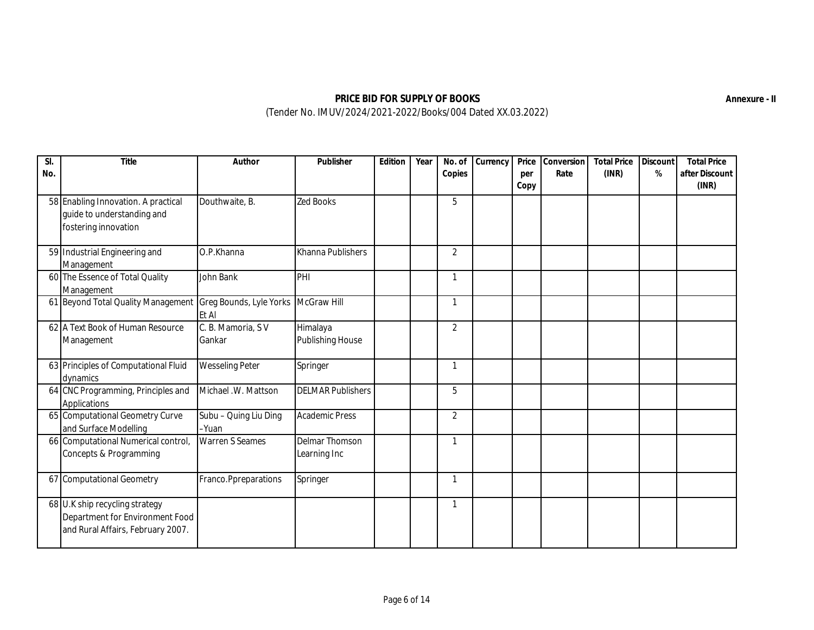| No. | Title                                                                                                  | Author                         | Publisher                           | Edition | Year | No. of<br>Copies | Currency | Price<br>per<br>Copy | Conversion<br>Rate | <b>Total Price</b><br>(INR) | Discount<br>$\%$ | <b>Total Price</b><br>after Discount<br>(INR) |
|-----|--------------------------------------------------------------------------------------------------------|--------------------------------|-------------------------------------|---------|------|------------------|----------|----------------------|--------------------|-----------------------------|------------------|-----------------------------------------------|
|     | 58 Enabling Innovation. A practical<br>guide to understanding and<br>fostering innovation              | Douthwaite, B.                 | <b>Zed Books</b>                    |         |      | 5                |          |                      |                    |                             |                  |                                               |
|     | 59 Industrial Engineering and<br>Management                                                            | O.P.Khanna                     | Khanna Publishers                   |         |      | $\overline{2}$   |          |                      |                    |                             |                  |                                               |
|     | 60 The Essence of Total Quality<br>Management                                                          | John Bank                      | PHI                                 |         |      | 1                |          |                      |                    |                             |                  |                                               |
|     | 61 Beyond Total Quality Management Greg Bounds, Lyle Yorks                                             | Et Al                          | McGraw Hill                         |         |      | 1                |          |                      |                    |                             |                  |                                               |
|     | 62 A Text Book of Human Resource<br>Management                                                         | C. B. Mamoria, SV<br>Gankar    | Himalaya<br><b>Publishing House</b> |         |      | $\overline{2}$   |          |                      |                    |                             |                  |                                               |
|     | 63 Principles of Computational Fluid<br>dynamics                                                       | <b>Wesseling Peter</b>         | Springer                            |         |      | 1                |          |                      |                    |                             |                  |                                               |
|     | 64 CNC Programming, Principles and<br>Applications                                                     | Michael .W. Mattson            | <b>DELMAR Publishers</b>            |         |      | 5                |          |                      |                    |                             |                  |                                               |
|     | 65 Computational Geometry Curve<br>and Surface Modelling                                               | Subu - Quing Liu Ding<br>-Yuan | <b>Academic Press</b>               |         |      | $\overline{2}$   |          |                      |                    |                             |                  |                                               |
|     | 66 Computational Numerical control,<br>Concepts & Programming                                          | <b>Warren S Seames</b>         | Delmar Thomson<br>Learning Inc      |         |      | 1                |          |                      |                    |                             |                  |                                               |
|     | 67 Computational Geometry                                                                              | Franco.Ppreparations           | Springer                            |         |      | 1                |          |                      |                    |                             |                  |                                               |
|     | 68 U.K ship recycling strategy<br>Department for Environment Food<br>and Rural Affairs, February 2007. |                                |                                     |         |      | 1                |          |                      |                    |                             |                  |                                               |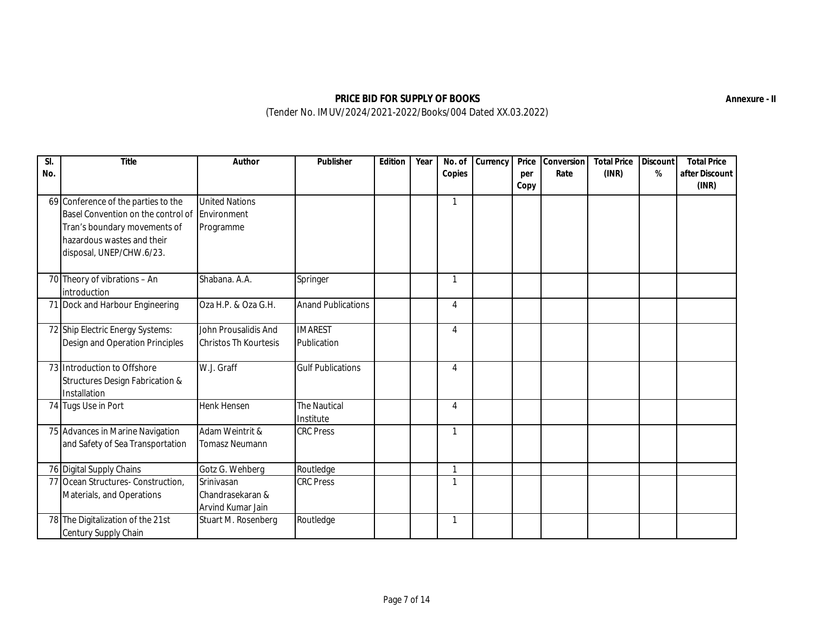| No. | Title                                                                                                                                                                           | Author                                               | Publisher                        | Edition | Year | No. of<br>Copies | Currency | Price<br>per<br>Copy | Conversion<br>Rate | <b>Total Price</b><br>(INR) | Discount<br>% | <b>Total Price</b><br>after Discount<br>(INR) |
|-----|---------------------------------------------------------------------------------------------------------------------------------------------------------------------------------|------------------------------------------------------|----------------------------------|---------|------|------------------|----------|----------------------|--------------------|-----------------------------|---------------|-----------------------------------------------|
|     | 69 Conference of the parties to the<br>Basel Convention on the control of Environment<br>Tran's boundary movements of<br>hazardous wastes and their<br>disposal, UNEP/CHW.6/23. | <b>United Nations</b><br>Programme                   |                                  |         |      | 1                |          |                      |                    |                             |               |                                               |
|     | 70 Theory of vibrations - An<br>introduction                                                                                                                                    | Shabana. A.A.                                        | Springer                         |         |      | 1                |          |                      |                    |                             |               |                                               |
|     | 71 Dock and Harbour Engineering                                                                                                                                                 | Oza H.P. & Oza G.H.                                  | <b>Anand Publications</b>        |         |      | 4                |          |                      |                    |                             |               |                                               |
|     | 72 Ship Electric Energy Systems:<br>Design and Operation Principles                                                                                                             | John Prousalidis And<br><b>Christos Th Kourtesis</b> | <b>IMAREST</b><br>Publication    |         |      | 4                |          |                      |                    |                             |               |                                               |
|     | 73 Introduction to Offshore<br><b>Structures Design Fabrication &amp;</b><br>Installation                                                                                       | W.J. Graff                                           | <b>Gulf Publications</b>         |         |      | 4                |          |                      |                    |                             |               |                                               |
|     | 74 Tugs Use in Port                                                                                                                                                             | <b>Henk Hensen</b>                                   | <b>The Nautical</b><br>Institute |         |      | 4                |          |                      |                    |                             |               |                                               |
|     | 75 Advances in Marine Navigation<br>and Safety of Sea Transportation                                                                                                            | Adam Weintrit &<br><b>Tomasz Neumann</b>             | <b>CRC Press</b>                 |         |      | 1                |          |                      |                    |                             |               |                                               |
|     | 76 Digital Supply Chains                                                                                                                                                        | Gotz G. Wehberg                                      | Routledge                        |         |      | $\mathbf{1}$     |          |                      |                    |                             |               |                                               |
|     | 77 Ocean Structures- Construction,<br>Materials, and Operations                                                                                                                 | Srinivasan<br>Chandrasekaran &<br>Arvind Kumar Jain  | <b>CRC Press</b>                 |         |      | 1                |          |                      |                    |                             |               |                                               |
|     | 78 The Digitalization of the 21st<br>Century Supply Chain                                                                                                                       | Stuart M. Rosenberg                                  | Routledge                        |         |      | 1                |          |                      |                    |                             |               |                                               |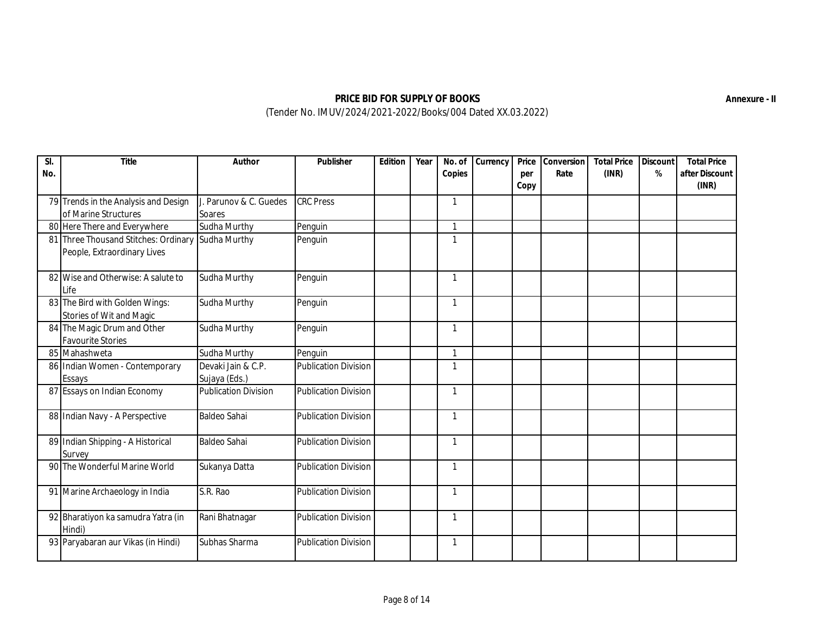| $\overline{SI}$<br>No. | Title                                                                         | Author                              | Publisher                   | Edition | Year | No. of<br>Copies | Currency | Price<br>per<br>Copy | Conversion<br>Rate | <b>Total Price</b><br>(INR) | Discount<br>% | <b>Total Price</b><br>after Discount<br>(INR) |
|------------------------|-------------------------------------------------------------------------------|-------------------------------------|-----------------------------|---------|------|------------------|----------|----------------------|--------------------|-----------------------------|---------------|-----------------------------------------------|
|                        | 79 Trends in the Analysis and Design<br>of Marine Structures                  | J. Parunov & C. Guedes<br>Soares    | <b>CRC Press</b>            |         |      | 1                |          |                      |                    |                             |               |                                               |
|                        | 80 Here There and Everywhere                                                  | Sudha Murthy                        | Penguin                     |         |      | $\mathbf{1}$     |          |                      |                    |                             |               |                                               |
| 81                     | Three Thousand Stitches: Ordinary Sudha Murthy<br>People, Extraordinary Lives |                                     | Penguin                     |         |      | 1                |          |                      |                    |                             |               |                                               |
|                        | 82 Wise and Otherwise: A salute to<br>Life                                    | Sudha Murthy                        | Penguin                     |         |      | 1                |          |                      |                    |                             |               |                                               |
|                        | 83 The Bird with Golden Wings:<br>Stories of Wit and Magic                    | Sudha Murthy                        | Penguin                     |         |      | 1                |          |                      |                    |                             |               |                                               |
|                        | 84 The Magic Drum and Other<br><b>Favourite Stories</b>                       | Sudha Murthy                        | Penguin                     |         |      | 1                |          |                      |                    |                             |               |                                               |
|                        | 85 Mahashweta                                                                 | Sudha Murthy                        | Penguin                     |         |      | $\mathbf{1}$     |          |                      |                    |                             |               |                                               |
|                        | 86 Indian Women - Contemporary<br>Essays                                      | Devaki Jain & C.P.<br>Sujaya (Eds.) | <b>Publication Division</b> |         |      | 1                |          |                      |                    |                             |               |                                               |
|                        | 87 Essays on Indian Economy                                                   | <b>Publication Division</b>         | <b>Publication Division</b> |         |      | 1                |          |                      |                    |                             |               |                                               |
|                        | 88 Indian Navy - A Perspective                                                | <b>Baldeo Sahai</b>                 | <b>Publication Division</b> |         |      | $\mathbf{1}$     |          |                      |                    |                             |               |                                               |
|                        | 89 Indian Shipping - A Historical<br>Survey                                   | <b>Baldeo Sahai</b>                 | <b>Publication Division</b> |         |      | 1                |          |                      |                    |                             |               |                                               |
|                        | 90 The Wonderful Marine World                                                 | Sukanya Datta                       | <b>Publication Division</b> |         |      | 1                |          |                      |                    |                             |               |                                               |
|                        | 91 Marine Archaeology in India                                                | S.R. Rao                            | <b>Publication Division</b> |         |      | 1                |          |                      |                    |                             |               |                                               |
|                        | 92 Bharatiyon ka samudra Yatra (in<br>Hindi)                                  | Rani Bhatnagar                      | <b>Publication Division</b> |         |      | 1                |          |                      |                    |                             |               |                                               |
|                        | 93 Paryabaran aur Vikas (in Hindi)                                            | Subhas Sharma                       | <b>Publication Division</b> |         |      | 1                |          |                      |                    |                             |               |                                               |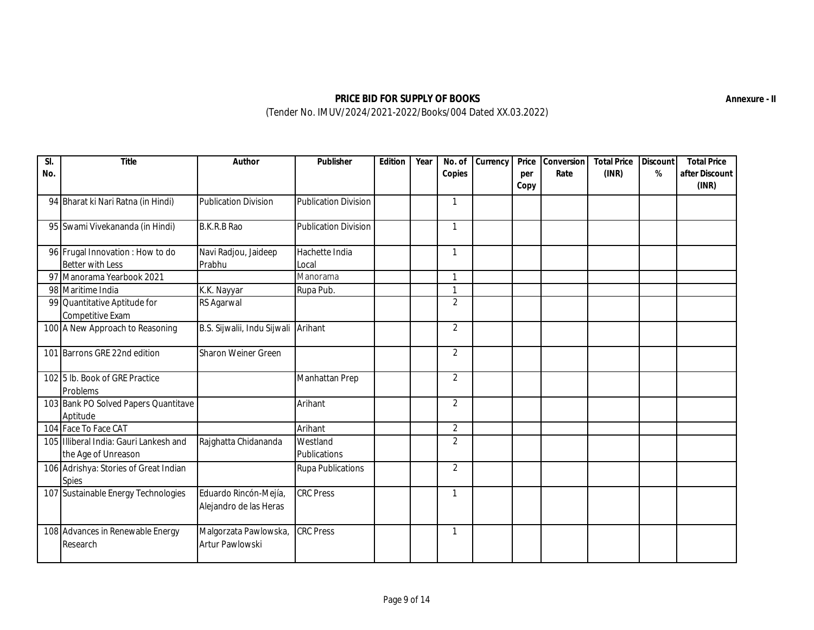| $\overline{\mathsf{SL}}$<br>No. | Title                                                         | Author                                          | Publisher                   | Edition | Year | No. of<br>Copies | Currency | Price<br>per<br>Copy | Conversion<br>Rate | <b>Total Price</b><br>(INR) | Discount<br>% | <b>Total Price</b><br>after Discount<br>(INR) |
|---------------------------------|---------------------------------------------------------------|-------------------------------------------------|-----------------------------|---------|------|------------------|----------|----------------------|--------------------|-----------------------------|---------------|-----------------------------------------------|
|                                 | 94 Bharat ki Nari Ratna (in Hindi)                            | <b>Publication Division</b>                     | <b>Publication Division</b> |         |      | 1                |          |                      |                    |                             |               |                                               |
|                                 | 95 Swami Vivekananda (in Hindi)                               | B.K.R.B Rao                                     | <b>Publication Division</b> |         |      | $\mathbf{1}$     |          |                      |                    |                             |               |                                               |
|                                 | 96 Frugal Innovation : How to do<br><b>Better with Less</b>   | Navi Radjou, Jaideep<br>Prabhu                  | Hachette India<br>Local     |         |      | 1                |          |                      |                    |                             |               |                                               |
|                                 | 97 Manorama Yearbook 2021                                     |                                                 | Manorama                    |         |      | 1                |          |                      |                    |                             |               |                                               |
|                                 | 98 Maritime India                                             | K.K. Nayyar                                     | Rupa Pub.                   |         |      | 1                |          |                      |                    |                             |               |                                               |
|                                 | 99 Quantitative Aptitude for<br>Competitive Exam              | RS Agarwal                                      |                             |         |      | $\overline{2}$   |          |                      |                    |                             |               |                                               |
|                                 | 100 A New Approach to Reasoning                               | B.S. Sijwalii, Indu Sijwali                     | Arihant                     |         |      | $\overline{2}$   |          |                      |                    |                             |               |                                               |
|                                 | 101 Barrons GRE 22nd edition                                  | Sharon Weiner Green                             |                             |         |      | $\overline{2}$   |          |                      |                    |                             |               |                                               |
|                                 | 102 5 lb. Book of GRE Practice<br>Problems                    |                                                 | Manhattan Prep              |         |      | $\overline{2}$   |          |                      |                    |                             |               |                                               |
|                                 | 103 Bank PO Solved Papers Quantitave<br>Aptitude              |                                                 | Arihant                     |         |      | $\overline{2}$   |          |                      |                    |                             |               |                                               |
|                                 | 104 Face To Face CAT                                          |                                                 | Arihant                     |         |      | $\overline{2}$   |          |                      |                    |                             |               |                                               |
|                                 | 105 Illiberal India: Gauri Lankesh and<br>the Age of Unreason | Rajghatta Chidananda                            | Westland<br>Publications    |         |      | $\overline{2}$   |          |                      |                    |                             |               |                                               |
|                                 | 106 Adrishya: Stories of Great Indian<br><b>Spies</b>         |                                                 | <b>Rupa Publications</b>    |         |      | $\overline{2}$   |          |                      |                    |                             |               |                                               |
|                                 | 107 Sustainable Energy Technologies                           | Eduardo Rincón-Mejía,<br>Alejandro de las Heras | <b>CRC Press</b>            |         |      | 1                |          |                      |                    |                             |               |                                               |
|                                 | 108 Advances in Renewable Energy<br>Research                  | Malgorzata Pawlowska,<br>Artur Pawlowski        | <b>CRC Press</b>            |         |      | 1                |          |                      |                    |                             |               |                                               |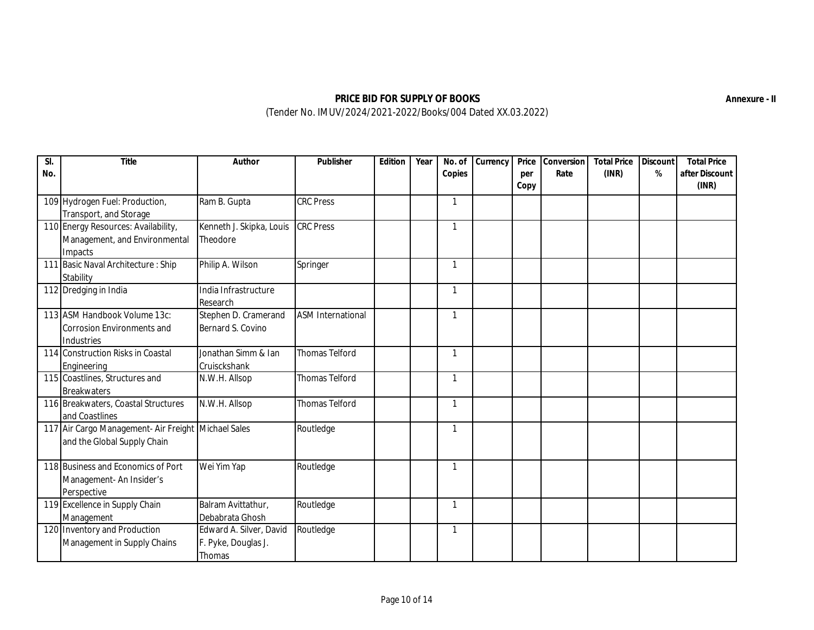| SI.<br>No. | Title                                                                              | Author                                                   | Publisher                | Edition | Year | No. of<br>Copies | Currency | Price<br>per<br>Copy | Conversion<br>Rate | <b>Total Price</b><br>(INR) | Discount<br>% | <b>Total Price</b><br>after Discount<br>(INR) |
|------------|------------------------------------------------------------------------------------|----------------------------------------------------------|--------------------------|---------|------|------------------|----------|----------------------|--------------------|-----------------------------|---------------|-----------------------------------------------|
|            | 109 Hydrogen Fuel: Production,<br>Transport, and Storage                           | Ram B. Gupta                                             | <b>CRC Press</b>         |         |      | 1                |          |                      |                    |                             |               |                                               |
|            | 110 Energy Resources: Availability,<br>Management, and Environmental<br>Impacts    | Kenneth J. Skipka, Louis<br>Theodore                     | <b>CRC Press</b>         |         |      | $\mathbf{1}$     |          |                      |                    |                             |               |                                               |
|            | 111 Basic Naval Architecture : Ship<br>Stability                                   | Philip A. Wilson                                         | Springer                 |         |      | 1                |          |                      |                    |                             |               |                                               |
|            | 112 Dredging in India                                                              | India Infrastructure<br>Research                         |                          |         |      | 1                |          |                      |                    |                             |               |                                               |
|            | 113 ASM Handbook Volume 13c:<br><b>Corrosion Environments and</b><br>Industries    | Stephen D. Cramerand<br>Bernard S. Covino                | <b>ASM International</b> |         |      | $\mathbf{1}$     |          |                      |                    |                             |               |                                               |
|            | 114 Construction Risks in Coastal<br>Engineering                                   | Jonathan Simm & Ian<br>Cruisckshank                      | <b>Thomas Telford</b>    |         |      | 1                |          |                      |                    |                             |               |                                               |
|            | 115 Coastlines, Structures and<br><b>Breakwaters</b>                               | N.W.H. Allsop                                            | <b>Thomas Telford</b>    |         |      | 1                |          |                      |                    |                             |               |                                               |
|            | 116 Breakwaters, Coastal Structures<br>and Coastlines                              | N.W.H. Allsop                                            | <b>Thomas Telford</b>    |         |      | 1                |          |                      |                    |                             |               |                                               |
|            | 117 Air Cargo Management- Air Freight Michael Sales<br>and the Global Supply Chain |                                                          | Routledge                |         |      | 1                |          |                      |                    |                             |               |                                               |
|            | 118 Business and Economics of Port<br>Management- An Insider's<br>Perspective      | Wei Yim Yap                                              | Routledge                |         |      | 1                |          |                      |                    |                             |               |                                               |
|            | 119 Excellence in Supply Chain<br>Management                                       | Balram Avittathur,<br>Debabrata Ghosh                    | Routledge                |         |      | 1                |          |                      |                    |                             |               |                                               |
|            | 120 Inventory and Production<br>Management in Supply Chains                        | Edward A. Silver, David<br>F. Pyke, Douglas J.<br>Thomas | Routledge                |         |      | 1                |          |                      |                    |                             |               |                                               |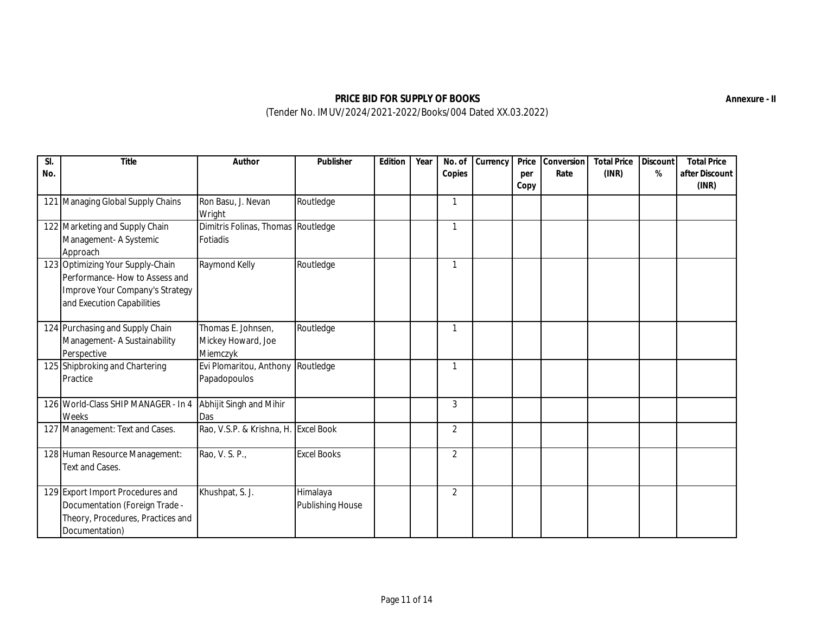| $\overline{SI}$<br>No. | Title                                                                                                                               | Author                                               | Publisher                           | Edition | Year | No. of<br>Copies | Currency | Price<br>per<br>Copy | Conversion<br>Rate | <b>Total Price</b><br>(INR) | Discount<br>% | <b>Total Price</b><br>after Discount<br>(INR) |
|------------------------|-------------------------------------------------------------------------------------------------------------------------------------|------------------------------------------------------|-------------------------------------|---------|------|------------------|----------|----------------------|--------------------|-----------------------------|---------------|-----------------------------------------------|
|                        | 121 Managing Global Supply Chains                                                                                                   | Ron Basu, J. Nevan<br>Wright                         | Routledge                           |         |      | $\mathbf 1$      |          |                      |                    |                             |               |                                               |
|                        | 122 Marketing and Supply Chain<br>Management- A Systemic<br>Approach                                                                | Dimitris Folinas, Thomas Routledge<br>Fotiadis       |                                     |         |      | $\mathbf{1}$     |          |                      |                    |                             |               |                                               |
|                        | 123 Optimizing Your Supply-Chain<br>Performance- How to Assess and<br>Improve Your Company's Strategy<br>and Execution Capabilities | Raymond Kelly                                        | Routledge                           |         |      | 1                |          |                      |                    |                             |               |                                               |
|                        | 124 Purchasing and Supply Chain<br>Management- A Sustainability<br>Perspective                                                      | Thomas E. Johnsen,<br>Mickey Howard, Joe<br>Miemczyk | Routledge                           |         |      | $\mathbf{1}$     |          |                      |                    |                             |               |                                               |
|                        | 125 Shipbroking and Chartering<br>Practice                                                                                          | Evi Plomaritou, Anthony Routledge<br>Papadopoulos    |                                     |         |      | $\mathbf{1}$     |          |                      |                    |                             |               |                                               |
|                        | 126 World-Class SHIP MANAGER - In 4<br>Weeks                                                                                        | Abhijit Singh and Mihir<br>Das                       |                                     |         |      | 3                |          |                      |                    |                             |               |                                               |
|                        | 127 Management: Text and Cases.                                                                                                     | Rao, V.S.P. & Krishna, H. Excel Book                 |                                     |         |      | $\overline{2}$   |          |                      |                    |                             |               |                                               |
|                        | 128 Human Resource Management:<br>Text and Cases.                                                                                   | Rao, V. S. P.,                                       | <b>Excel Books</b>                  |         |      | $\overline{2}$   |          |                      |                    |                             |               |                                               |
|                        | 129 Export Import Procedures and<br>Documentation (Foreign Trade -<br>Theory, Procedures, Practices and<br>Documentation)           | Khushpat, S. J.                                      | Himalaya<br><b>Publishing House</b> |         |      | $\overline{2}$   |          |                      |                    |                             |               |                                               |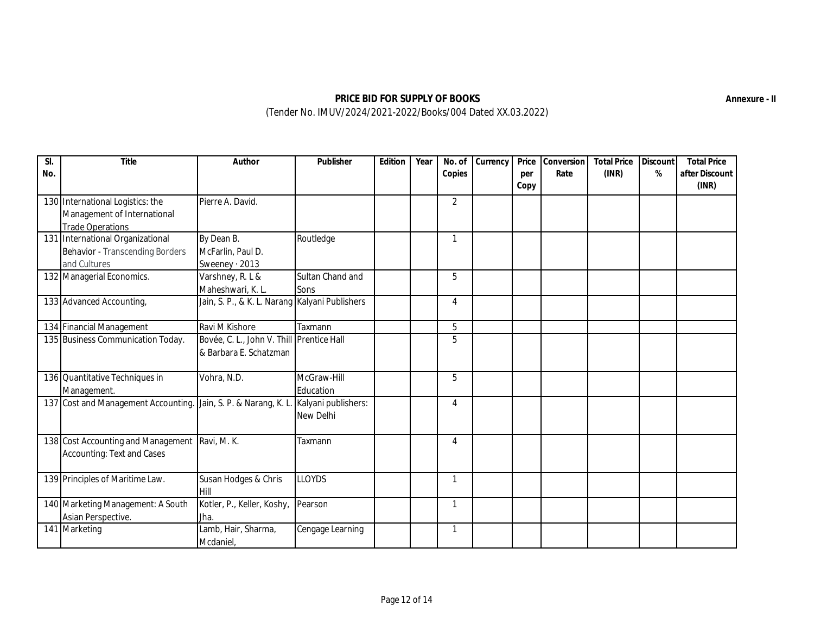| SI.<br>No. | Title                                                                                      | Author                                                              | Publisher                        | Edition | Year | No. of<br>Copies | Currency | Price<br>per<br>Copy | Conversion<br>Rate | <b>Total Price</b><br>(INR) | Discount<br>% | <b>Total Price</b><br>after Discount<br>(INR) |
|------------|--------------------------------------------------------------------------------------------|---------------------------------------------------------------------|----------------------------------|---------|------|------------------|----------|----------------------|--------------------|-----------------------------|---------------|-----------------------------------------------|
|            | 130 International Logistics: the<br>Management of International<br><b>Trade Operations</b> | Pierre A. David.                                                    |                                  |         |      | $\overline{2}$   |          |                      |                    |                             |               |                                               |
|            | 131 International Organizational<br>Behavior - Transcending Borders<br>and Cultures        | By Dean B.<br>McFarlin, Paul D.<br>Sweeney $\cdot$ 2013             | Routledge                        |         |      | 1                |          |                      |                    |                             |               |                                               |
|            | 132 Managerial Economics.                                                                  | Varshney, R. L &<br>Maheshwari, K. L.                               | Sultan Chand and<br>Sons         |         |      | 5                |          |                      |                    |                             |               |                                               |
|            | 133 Advanced Accounting,                                                                   | Jain, S. P., & K. L. Narang Kalyani Publishers                      |                                  |         |      | 4                |          |                      |                    |                             |               |                                               |
|            | 134 Financial Management                                                                   | Ravi M Kishore                                                      | Taxmann                          |         |      | 5                |          |                      |                    |                             |               |                                               |
|            | 135 Business Communication Today.                                                          | Bovée, C. L., John V. Thill Prentice Hall<br>& Barbara E. Schatzman |                                  |         |      | 5                |          |                      |                    |                             |               |                                               |
|            | 136 Quantitative Techniques in<br>Management.                                              | Vohra, N.D.                                                         | McGraw-Hill<br>Education         |         |      | 5                |          |                      |                    |                             |               |                                               |
|            | 137 Cost and Management Accounting.                                                        | Jain, S. P. & Narang, K. L.                                         | Kalyani publishers:<br>New Delhi |         |      | 4                |          |                      |                    |                             |               |                                               |
|            | 138 Cost Accounting and Management<br>Accounting: Text and Cases                           | Ravi, M. K.                                                         | Taxmann                          |         |      | 4                |          |                      |                    |                             |               |                                               |
|            | 139 Principles of Maritime Law.                                                            | Susan Hodges & Chris<br>Hill                                        | <b>LLOYDS</b>                    |         |      | 1                |          |                      |                    |                             |               |                                               |
|            | 140 Marketing Management: A South<br>Asian Perspective.                                    | Kotler, P., Keller, Koshy,<br>Jha.                                  | Pearson                          |         |      | 1                |          |                      |                    |                             |               |                                               |
|            | 141 Marketing                                                                              | Lamb, Hair, Sharma,<br>Mcdaniel,                                    | Cengage Learning                 |         |      | $\mathbf{1}$     |          |                      |                    |                             |               |                                               |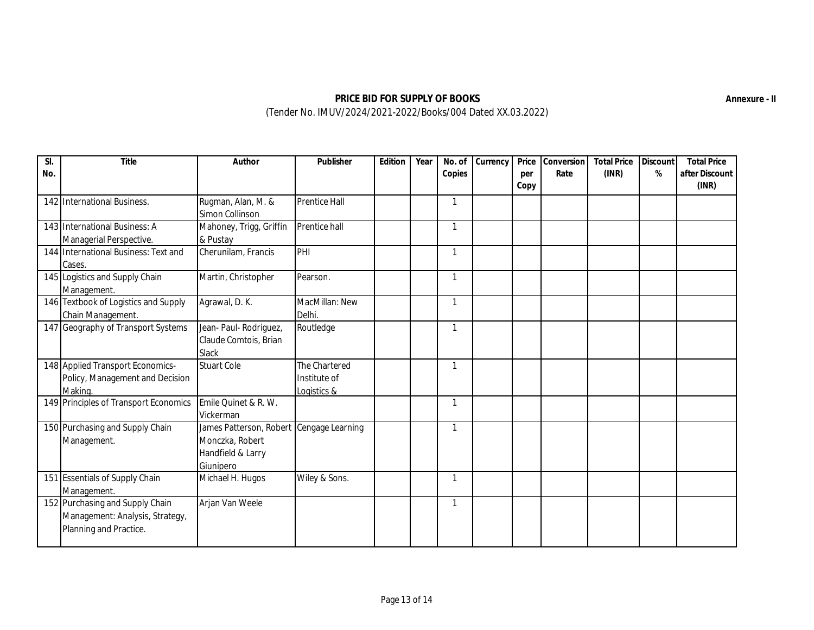| No. | Title                                                                                        | Author                                                                                        | Publisher                                    | Edition | Year | No. of<br>Copies | Currency | Price<br>per<br>Copy | Conversion<br>Rate | <b>Total Price</b><br>(INR) | Discount<br>$\%$ | <b>Total Price</b><br>after Discount<br>(INR) |
|-----|----------------------------------------------------------------------------------------------|-----------------------------------------------------------------------------------------------|----------------------------------------------|---------|------|------------------|----------|----------------------|--------------------|-----------------------------|------------------|-----------------------------------------------|
|     | 142 International Business.                                                                  | Rugman, Alan, M. &<br>Simon Collinson                                                         | <b>Prentice Hall</b>                         |         |      | $\mathbf{1}$     |          |                      |                    |                             |                  |                                               |
|     | 143 International Business: A<br>Managerial Perspective.                                     | Mahoney, Trigg, Griffin<br>& Pustay                                                           | Prentice hall                                |         |      | $\mathbf{1}$     |          |                      |                    |                             |                  |                                               |
|     | 144 International Business: Text and<br>Cases.                                               | Cherunilam, Francis                                                                           | PHI                                          |         |      | $\mathbf{1}$     |          |                      |                    |                             |                  |                                               |
|     | 145 Logistics and Supply Chain<br>Management.                                                | Martin, Christopher                                                                           | Pearson.                                     |         |      | 1                |          |                      |                    |                             |                  |                                               |
|     | 146 Textbook of Logistics and Supply<br>Chain Management.                                    | Agrawal, D. K.                                                                                | MacMillan: New<br>Delhi.                     |         |      | $\mathbf{1}$     |          |                      |                    |                             |                  |                                               |
|     | 147 Geography of Transport Systems                                                           | Jean- Paul- Rodriguez,<br>Claude Comtois, Brian<br>Slack                                      | Routledge                                    |         |      | $\mathbf{1}$     |          |                      |                    |                             |                  |                                               |
|     | 148 Applied Transport Economics-<br>Policy, Management and Decision<br>Making.               | <b>Stuart Cole</b>                                                                            | The Chartered<br>Institute of<br>Logistics & |         |      | 1                |          |                      |                    |                             |                  |                                               |
|     | 149 Principles of Transport Economics                                                        | Emile Quinet & R. W.<br>Vickerman                                                             |                                              |         |      | 1                |          |                      |                    |                             |                  |                                               |
|     | 150 Purchasing and Supply Chain<br>Management.                                               | James Patterson, Robert Cengage Learning<br>Monczka, Robert<br>Handfield & Larry<br>Giunipero |                                              |         |      | 1                |          |                      |                    |                             |                  |                                               |
|     | 151 Essentials of Supply Chain<br>Management.                                                | Michael H. Hugos                                                                              | Wiley & Sons.                                |         |      | 1                |          |                      |                    |                             |                  |                                               |
|     | 152 Purchasing and Supply Chain<br>Management: Analysis, Strategy,<br>Planning and Practice. | Arjan Van Weele                                                                               |                                              |         |      | $\mathbf{1}$     |          |                      |                    |                             |                  |                                               |